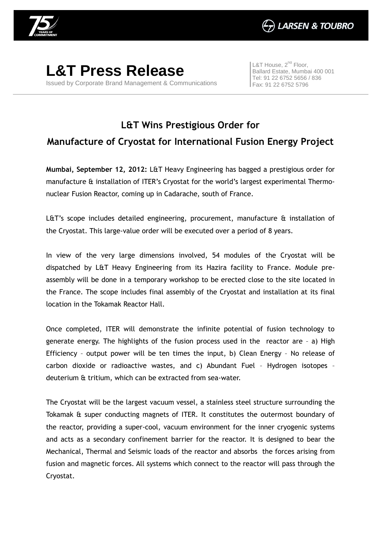

**L&T Press Release** Issued by Corporate Brand Management & Communications

L&T House,  $2^{nd}$  Floor, Ballard Estate, Mumbai 400 001 Tel: 91 22 6752 5656 / 836 Fax: 91 22 6752 5796

## **L&T Wins Prestigious Order for Manufacture of Cryostat for International Fusion Energy Project**

**Mumbai, September 12, 2012:** L&T Heavy Engineering has bagged a prestigious order for manufacture & installation of ITER's Cryostat for the world's largest experimental Thermonuclear Fusion Reactor, coming up in Cadarache, south of France.

L&T's scope includes detailed engineering, procurement, manufacture & installation of the Cryostat. This large-value order will be executed over a period of 8 years.

In view of the very large dimensions involved, 54 modules of the Cryostat will be dispatched by L&T Heavy Engineering from its Hazira facility to France. Module preassembly will be done in a temporary workshop to be erected close to the site located in the France. The scope includes final assembly of the Cryostat and installation at its final location in the Tokamak Reactor Hall.

Once completed, ITER will demonstrate the infinite potential of fusion technology to generate energy. The highlights of the fusion process used in the reactor are – a) High Efficiency – output power will be ten times the input, b) Clean Energy – No release of carbon dioxide or radioactive wastes, and c) Abundant Fuel – Hydrogen isotopes – deuterium & tritium, which can be extracted from sea-water.

The Cryostat will be the largest vacuum vessel, a stainless steel structure surrounding the Tokamak & super conducting magnets of ITER. It constitutes the outermost boundary of the reactor, providing a super-cool, vacuum environment for the inner cryogenic systems and acts as a secondary confinement barrier for the reactor. It is designed to bear the Mechanical, Thermal and Seismic loads of the reactor and absorbs the forces arising from fusion and magnetic forces. All systems which connect to the reactor will pass through the Cryostat.